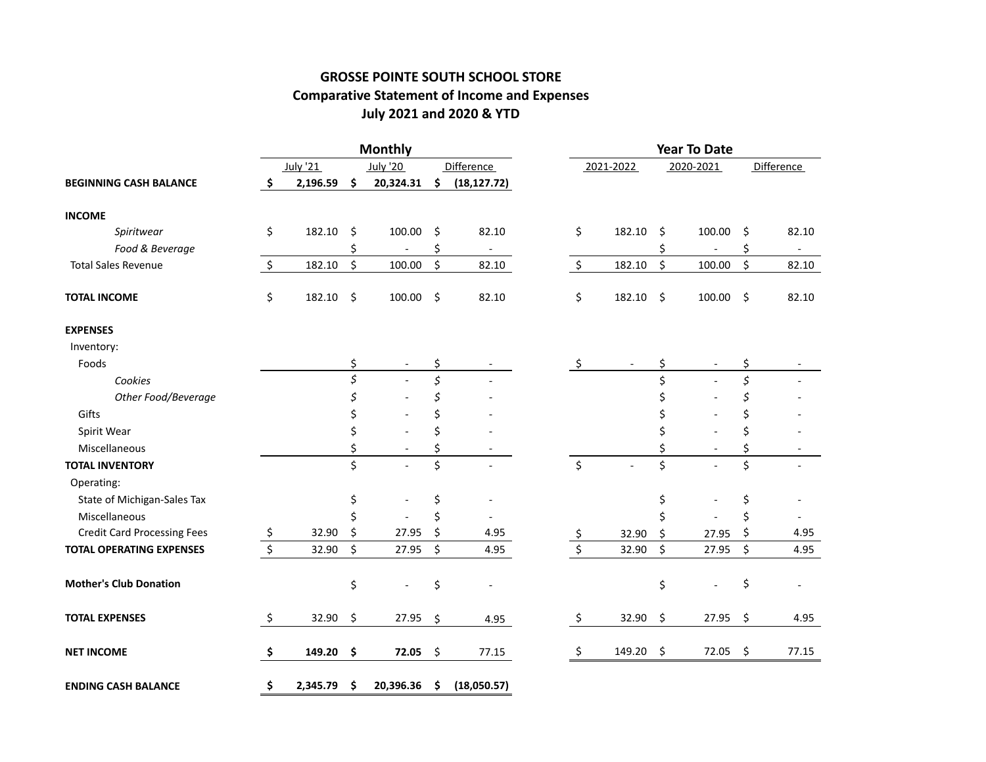# **GROSSE POINTE SOUTH SCHOOL STORE Comparative Statement of Income and Expenses July 2021 and 2020 & YTD**

|                                    |                |         | <b>Monthly</b>           |    |                          | <b>Year To Date</b> |           |    |                |         |                          |  |
|------------------------------------|----------------|---------|--------------------------|----|--------------------------|---------------------|-----------|----|----------------|---------|--------------------------|--|
|                                    | July '21       |         | <b>July '20</b>          |    | <b>Difference</b>        |                     | 2021-2022 |    | 2020-2021      |         | Difference               |  |
| <b>BEGINNING CASH BALANCE</b>      | \$<br>2,196.59 | \$      | 20,324.31                | \$ | (18, 127.72)             |                     |           |    |                |         |                          |  |
| <b>INCOME</b>                      |                |         |                          |    |                          |                     |           |    |                |         |                          |  |
| Spiritwear                         | \$<br>182.10   | \$      | 100.00                   | \$ | 82.10                    | \$                  | 182.10    | \$ | 100.00         | \$      | 82.10                    |  |
| Food & Beverage                    |                | \$      | $\overline{\phantom{a}}$ | \$ | $\overline{\phantom{a}}$ |                     |           | \$ | $\blacksquare$ | \$      | $\overline{\phantom{a}}$ |  |
| <b>Total Sales Revenue</b>         | \$<br>182.10   | $\zeta$ | 100.00                   | \$ | 82.10                    | \$                  | 182.10    | \$ | 100.00         | $\zeta$ | 82.10                    |  |
| <b>TOTAL INCOME</b>                | \$<br>182.10   | \$      | 100.00                   | \$ | 82.10                    | \$                  | 182.10    | \$ | 100.00         | \$      | 82.10                    |  |
| <b>EXPENSES</b>                    |                |         |                          |    |                          |                     |           |    |                |         |                          |  |
| Inventory:                         |                |         |                          |    |                          |                     |           |    |                |         |                          |  |
| Foods                              |                | \$      |                          | \$ |                          | \$                  |           | \$ |                | \$      |                          |  |
| Cookies                            |                | \$      |                          | \$ |                          |                     |           | \$ |                | \$      |                          |  |
| Other Food/Beverage                |                | \$      |                          | \$ |                          |                     |           | \$ |                | Ś       |                          |  |
| Gifts                              |                | \$      |                          | \$ |                          |                     |           | \$ |                | \$      |                          |  |
| Spirit Wear                        |                | \$      |                          | Ś. |                          |                     |           | \$ |                | Ś       |                          |  |
| Miscellaneous                      |                | \$      |                          | \$ |                          |                     |           | \$ |                | \$      |                          |  |
| <b>TOTAL INVENTORY</b>             |                | \$      |                          | \$ |                          | \$                  |           | \$ |                | \$      |                          |  |
| Operating:                         |                |         |                          |    |                          |                     |           |    |                |         |                          |  |
| State of Michigan-Sales Tax        |                | \$      |                          | \$ |                          |                     |           | \$ |                | \$      |                          |  |
| Miscellaneous                      |                | \$      |                          | \$ |                          |                     |           | \$ |                | \$      |                          |  |
| <b>Credit Card Processing Fees</b> | \$<br>32.90    | \$      | 27.95                    | \$ | 4.95                     | <u>ي</u>            | 32.90     | \$ | 27.95          | \$      | 4.95                     |  |
| <b>TOTAL OPERATING EXPENSES</b>    | \$<br>32.90    | \$      | 27.95                    | \$ | 4.95                     | $\zeta$             | 32.90     | \$ | 27.95          | \$      | 4.95                     |  |
| <b>Mother's Club Donation</b>      |                | \$      |                          | \$ |                          |                     |           | \$ |                | \$      |                          |  |
| <b>TOTAL EXPENSES</b>              | \$<br>32.90    | \$      | 27.95                    | \$ | 4.95                     | \$                  | 32.90     | \$ | 27.95          | \$      | 4.95                     |  |
| <b>NET INCOME</b>                  | \$<br>149.20   | \$      | 72.05                    | \$ | 77.15                    | \$                  | 149.20    | \$ | 72.05          | \$      | 77.15                    |  |
| <b>ENDING CASH BALANCE</b>         | \$<br>2,345.79 | \$      | 20,396.36                | \$ | (18,050.57)              |                     |           |    |                |         |                          |  |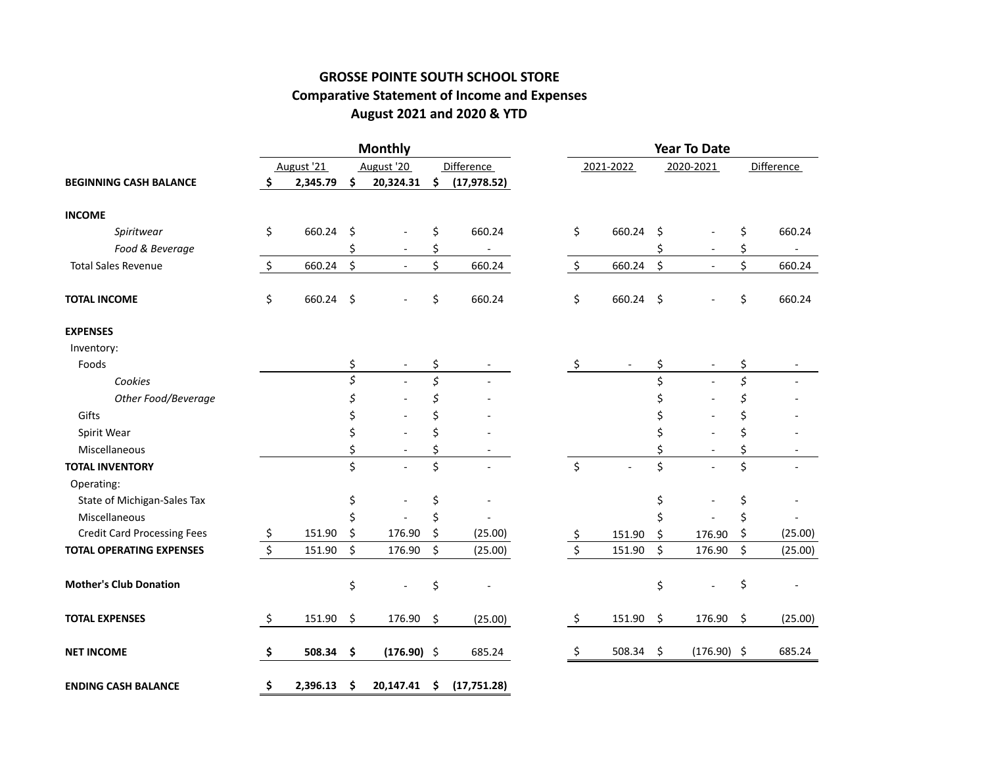# **GROSSE POINTE SOUTH SCHOOL STORE Comparative Statement of Income and Expenses August 2021 and 2020 & YTD**

|                                    |    |            |         | <b>Monthly</b> |         |                   | <b>Year To Date</b> |           |    |                          |         |                          |  |
|------------------------------------|----|------------|---------|----------------|---------|-------------------|---------------------|-----------|----|--------------------------|---------|--------------------------|--|
|                                    |    | August '21 |         | August '20     |         | <b>Difference</b> |                     | 2021-2022 |    | 2020-2021                |         | <b>Difference</b>        |  |
| <b>BEGINNING CASH BALANCE</b>      | Ŝ. | 2,345.79   | \$      | 20,324.31      | \$      | (17, 978.52)      |                     |           |    |                          |         |                          |  |
| <b>INCOME</b>                      |    |            |         |                |         |                   |                     |           |    |                          |         |                          |  |
| Spiritwear                         | \$ | 660.24     | \$      |                | \$      | 660.24            | \$                  | 660.24    | \$ |                          | \$      | 660.24                   |  |
| Food & Beverage                    |    |            | \$      |                | \$      |                   |                     |           | \$ | $\sim$                   | \$      | $\overline{\phantom{a}}$ |  |
| <b>Total Sales Revenue</b>         | \$ | 660.24     | $\zeta$ |                | \$      | 660.24            | \$                  | 660.24    | \$ | $\omega$                 | \$      | 660.24                   |  |
| <b>TOTAL INCOME</b>                | \$ | 660.24     | \$      |                | \$      | 660.24            | \$                  | 660.24    | \$ |                          | \$      | 660.24                   |  |
| <b>EXPENSES</b>                    |    |            |         |                |         |                   |                     |           |    |                          |         |                          |  |
| Inventory:                         |    |            |         |                |         |                   |                     |           |    |                          |         |                          |  |
| Foods                              |    |            | \$      |                | \$      |                   | \$                  |           | \$ | $\overline{\phantom{a}}$ | \$      |                          |  |
| Cookies                            |    |            | \$      |                | \$      |                   |                     |           | \$ |                          | $\zeta$ |                          |  |
| Other Food/Beverage                |    |            |         |                | \$      |                   |                     |           | \$ |                          | S       |                          |  |
| Gifts                              |    |            | \$      |                | \$      |                   |                     |           | \$ |                          | Ś       |                          |  |
| Spirit Wear                        |    |            | \$      |                | \$      |                   |                     |           | \$ |                          | Ś       |                          |  |
| Miscellaneous                      |    |            | \$      |                | \$      |                   |                     |           | \$ |                          | \$      |                          |  |
| <b>TOTAL INVENTORY</b>             |    |            | \$      |                | \$      |                   | $\zeta$             |           | \$ |                          | \$      |                          |  |
| Operating:                         |    |            |         |                |         |                   |                     |           |    |                          |         |                          |  |
| State of Michigan-Sales Tax        |    |            | \$      |                | \$      |                   |                     |           | \$ |                          | \$      |                          |  |
| Miscellaneous                      |    |            |         |                | \$      |                   |                     |           | Ś  |                          | \$      |                          |  |
| <b>Credit Card Processing Fees</b> | \$ | 151.90     | \$      | 176.90         | \$      | (25.00)           | Ş                   | 151.90    | \$ | 176.90                   | \$      | (25.00)                  |  |
| <b>TOTAL OPERATING EXPENSES</b>    | \$ | 151.90     | \$      | 176.90         | \$      | (25.00)           | \$                  | 151.90    | \$ | 176.90                   | \$      | (25.00)                  |  |
| <b>Mother's Club Donation</b>      |    |            | \$      |                | \$      |                   |                     |           | \$ |                          | \$      |                          |  |
| <b>TOTAL EXPENSES</b>              | \$ | 151.90     | \$      | 176.90         | $\zeta$ | (25.00)           | \$                  | 151.90    | \$ | 176.90                   | \$      | (25.00)                  |  |
| <b>NET INCOME</b>                  | \$ | 508.34     | \$      | $(176.90)$ \$  |         | 685.24            | \$                  | 508.34    | \$ | $(176.90)$ \$            |         | 685.24                   |  |
| <b>ENDING CASH BALANCE</b>         | \$ | 2,396.13   | \$      | 20,147.41      | - \$    | (17, 751.28)      |                     |           |    |                          |         |                          |  |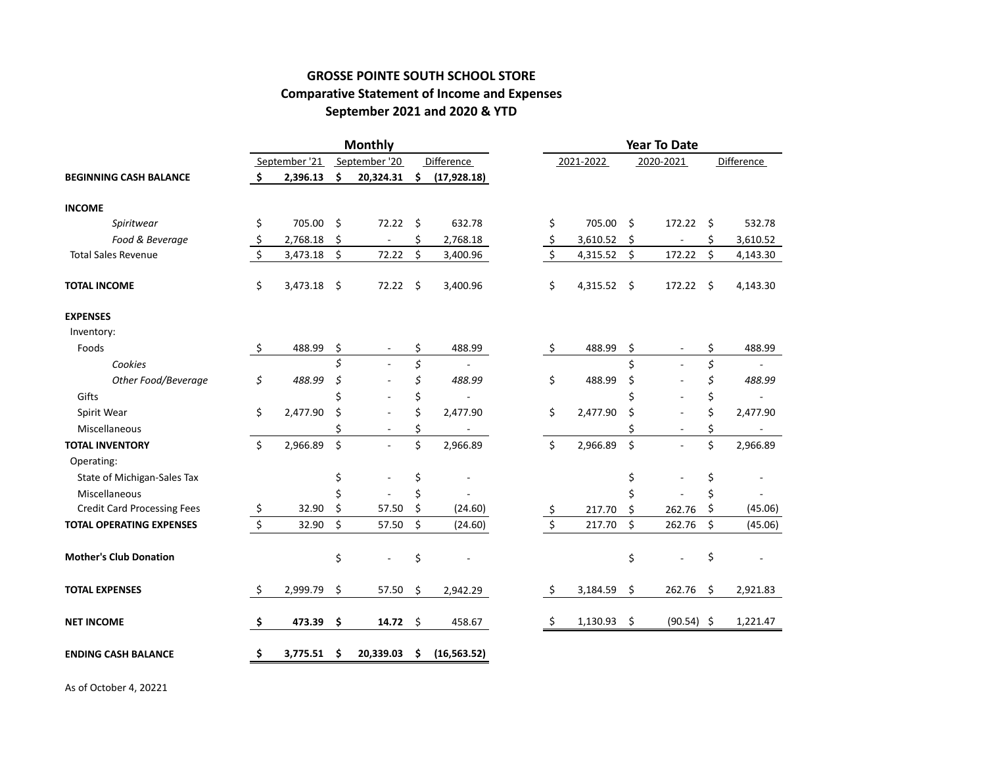### **GROSSE POINTE SOUTH SCHOOL STORE Comparative Statement of Income and Expenses September 2021 and 2020 & YTD**

|                                    |               |          |    | <b>Monthly</b>           |    |                   | <b>Year To Date</b> |           |    |                |            |          |  |
|------------------------------------|---------------|----------|----|--------------------------|----|-------------------|---------------------|-----------|----|----------------|------------|----------|--|
| <b>BEGINNING CASH BALANCE</b>      | September '21 |          |    | September '20            |    | <b>Difference</b> |                     | 2021-2022 |    | 2020-2021      | Difference |          |  |
|                                    | \$            | 2,396.13 | \$ | 20,324.31                | \$ | (17, 928.18)      |                     |           |    |                |            |          |  |
| <b>INCOME</b>                      |               |          |    |                          |    |                   |                     |           |    |                |            |          |  |
| Spiritwear                         | \$            | 705.00   | Ŝ. | 72.22                    | Ŝ. | 632.78            | \$                  | 705.00    | \$ | 172.22         | \$         | 532.78   |  |
| Food & Beverage                    | $\frac{1}{2}$ | 2,768.18 | \$ | $\overline{\phantom{a}}$ | \$ | 2,768.18          | \$                  | 3,610.52  | \$ | $\overline{a}$ | \$         | 3,610.52 |  |
| <b>Total Sales Revenue</b>         | \$            | 3,473.18 | \$ | 72.22                    | \$ | 3,400.96          | $\zeta$             | 4,315.52  | \$ | 172.22         | \$         | 4,143.30 |  |
| <b>TOTAL INCOME</b>                | \$            | 3,473.18 | Ŝ. | 72.22                    | \$ | 3,400.96          | \$                  | 4,315.52  | \$ | 172.22         | $\zeta$    | 4,143.30 |  |
| <b>EXPENSES</b>                    |               |          |    |                          |    |                   |                     |           |    |                |            |          |  |
| Inventory:                         |               |          |    |                          |    |                   |                     |           |    |                |            |          |  |
| Foods                              | \$            | 488.99   | \$ |                          | \$ | 488.99            | \$                  | 488.99    | \$ |                | \$         | 488.99   |  |
| Cookies                            |               |          | \$ |                          | \$ |                   |                     |           | \$ |                | \$         |          |  |
| Other Food/Beverage                | \$            | 488.99   | \$ |                          | \$ | 488.99            | \$                  | 488.99    | \$ |                | \$         | 488.99   |  |
| Gifts                              |               |          | Ś  |                          | \$ |                   |                     |           | Ś  |                | \$         |          |  |
| Spirit Wear                        | \$            | 2,477.90 | \$ |                          | \$ | 2,477.90          | \$                  | 2,477.90  | \$ |                | \$         | 2,477.90 |  |
| Miscellaneous                      |               |          | Ś  |                          | \$ | ÷,                |                     |           | Ś  |                | \$         |          |  |
| <b>TOTAL INVENTORY</b>             | \$            | 2,966.89 | \$ |                          | \$ | 2,966.89          | \$                  | 2,966.89  | \$ | ÷.             | \$         | 2,966.89 |  |
| Operating:                         |               |          |    |                          |    |                   |                     |           |    |                |            |          |  |
| State of Michigan-Sales Tax        |               |          | \$ |                          | \$ |                   |                     |           | \$ |                | \$         |          |  |
| Miscellaneous                      |               |          | Ś  |                          | Ś  |                   |                     |           | Ś  |                | \$         |          |  |
| <b>Credit Card Processing Fees</b> | \$            | 32.90    | \$ | 57.50                    | \$ | (24.60)           | $\mathsf{S}$        | 217.70    | \$ | 262.76         | \$         | (45.06)  |  |
| <b>TOTAL OPERATING EXPENSES</b>    | \$            | 32.90    | \$ | 57.50                    | \$ | (24.60)           | \$                  | 217.70    | \$ | 262.76         | \$         | (45.06)  |  |
| <b>Mother's Club Donation</b>      |               |          | \$ |                          | \$ |                   |                     |           | \$ |                | \$         |          |  |
| <b>TOTAL EXPENSES</b>              | \$            | 2,999.79 | \$ | 57.50                    | \$ | 2,942.29          | \$                  | 3,184.59  | \$ | 262.76         | \$         | 2,921.83 |  |
| <b>NET INCOME</b>                  | \$            | 473.39   | \$ | 14.72                    | \$ | 458.67            | \$                  | 1,130.93  | \$ | $(90.54)$ \$   |            | 1,221.47 |  |
| <b>ENDING CASH BALANCE</b>         | \$            | 3,775.51 | \$ | 20,339.03                | \$ | (16, 563.52)      |                     |           |    |                |            |          |  |

As of October 4, 20221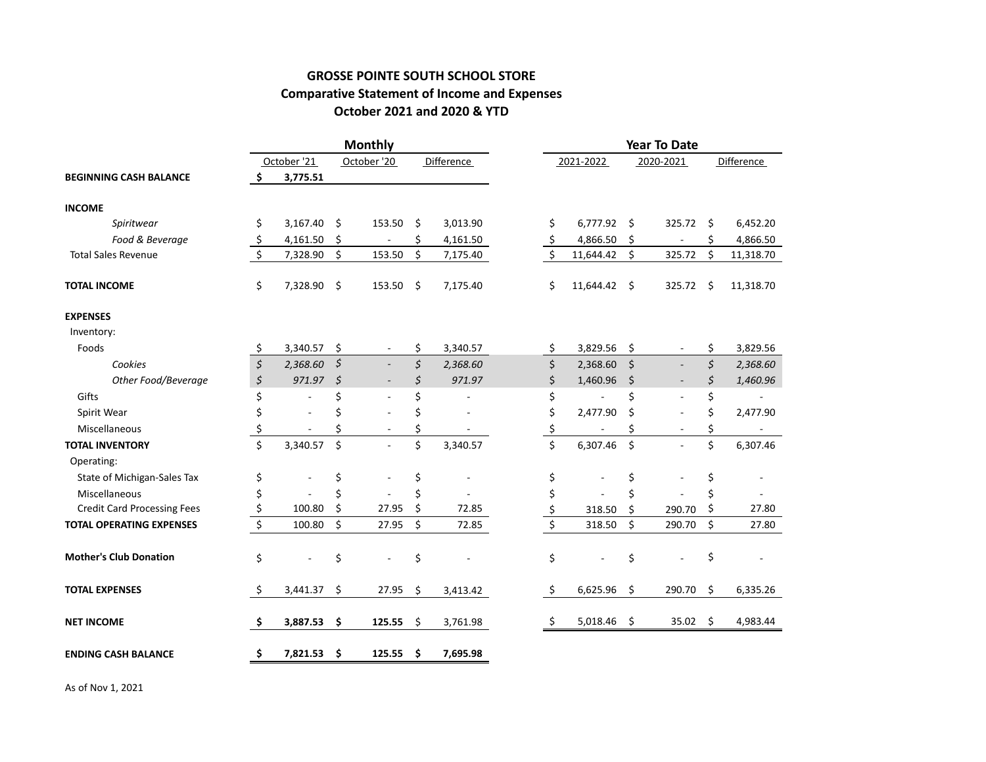#### **GROSSE POINTE SOUTH SCHOOL STORE Comparative Statement of Income and Expenses October 2021 and 2020 & YTD**

|                                    |         |             |                        | <b>Monthly</b> |            |          | <b>Year To Date</b> |                  |           |           |                          |            |           |
|------------------------------------|---------|-------------|------------------------|----------------|------------|----------|---------------------|------------------|-----------|-----------|--------------------------|------------|-----------|
|                                    |         | October '21 |                        | October '20    | Difference |          |                     | 2021-2022        |           | 2020-2021 |                          | Difference |           |
| <b>BEGINNING CASH BALANCE</b>      | Ś.      | 3,775.51    |                        |                |            |          |                     |                  |           |           |                          |            |           |
| <b>INCOME</b>                      |         |             |                        |                |            |          |                     |                  |           |           |                          |            |           |
| Spiritwear                         | \$      | 3,167.40    | \$                     | 153.50         | Ŝ.         | 3,013.90 |                     | \$               | 6,777.92  | Ŝ.        | 325.72                   | -\$        | 6,452.20  |
| Food & Beverage                    | \$      | 4,161.50    | \$                     |                | \$         | 4,161.50 |                     | \$               | 4,866.50  | \$        |                          | \$         | 4,866.50  |
| <b>Total Sales Revenue</b>         | \$      | 7,328.90    | \$                     | 153.50         | \$         | 7,175.40 |                     | \$               | 11,644.42 | \$        | 325.72                   | \$         | 11,318.70 |
| <b>TOTAL INCOME</b>                | \$      | 7,328.90    | \$                     | 153.50         | - \$       | 7,175.40 |                     | Ś.               | 11,644.42 | Ŝ.        | 325.72                   | -\$        | 11,318.70 |
| <b>EXPENSES</b>                    |         |             |                        |                |            |          |                     |                  |           |           |                          |            |           |
| Inventory:                         |         |             |                        |                |            |          |                     |                  |           |           |                          |            |           |
| Foods                              | \$      | 3,340.57    | \$                     |                | \$         | 3,340.57 |                     | \$               | 3,829.56  | \$        |                          | \$         | 3,829.56  |
| Cookies                            | \$      | 2,368.60    | \$                     |                | \$         | 2,368.60 |                     | \$               | 2,368.60  | \$        | $\overline{\phantom{a}}$ | \$         | 2,368.60  |
| Other Food/Beverage                | \$      | 971.97      | $\mathsf{\mathcal{S}}$ |                | \$         | 971.97   |                     | \$               | 1,460.96  | \$        |                          | \$         | 1,460.96  |
| Gifts                              | \$      |             | \$                     |                | \$         |          |                     | \$               |           | \$        |                          | \$         |           |
| Spirit Wear                        | \$      |             | \$                     |                | \$         |          |                     | \$               | 2,477.90  | \$        |                          | \$         | 2,477.90  |
| Miscellaneous                      | \$      |             | Ś                      |                | \$         |          |                     | \$               |           | \$        |                          | \$         |           |
| <b>TOTAL INVENTORY</b>             | \$      | 3,340.57    | $\zeta$                |                | \$         | 3,340.57 |                     | \$               | 6,307.46  | $\zeta$   |                          | \$         | 6,307.46  |
| Operating:                         |         |             |                        |                |            |          |                     |                  |           |           |                          |            |           |
| State of Michigan-Sales Tax        | \$      |             | \$                     |                | \$         |          |                     | \$               |           | \$        |                          | \$         |           |
| Miscellaneous                      | \$      |             | \$                     |                | \$         |          |                     | \$               |           | \$        |                          | \$         |           |
| <b>Credit Card Processing Fees</b> | \$      | 100.80      | \$                     | 27.95          | \$         | 72.85    |                     | \$               | 318.50    | \$        | 290.70                   | \$         | 27.80     |
| <b>TOTAL OPERATING EXPENSES</b>    | $\zeta$ | 100.80      | \$                     | 27.95          | \$         | 72.85    |                     | $\overline{\xi}$ | 318.50    | \$        | 290.70                   | \$         | 27.80     |
| <b>Mother's Club Donation</b>      | \$      |             | \$                     |                | \$         |          |                     | \$               |           | \$        |                          | \$         |           |
| <b>TOTAL EXPENSES</b>              | \$      | 3,441.37    | \$                     | 27.95          | \$         | 3,413.42 |                     | \$               | 6,625.96  | \$        | 290.70                   | \$         | 6,335.26  |
| <b>NET INCOME</b>                  | \$      | 3,887.53    | \$                     | 125.55         | \$         | 3,761.98 |                     | \$               | 5,018.46  | \$        | 35.02                    | \$         | 4,983.44  |
| <b>ENDING CASH BALANCE</b>         | \$      | 7,821.53    | \$                     | 125.55         | \$         | 7,695.98 |                     |                  |           |           |                          |            |           |

As of Nov 1, 2021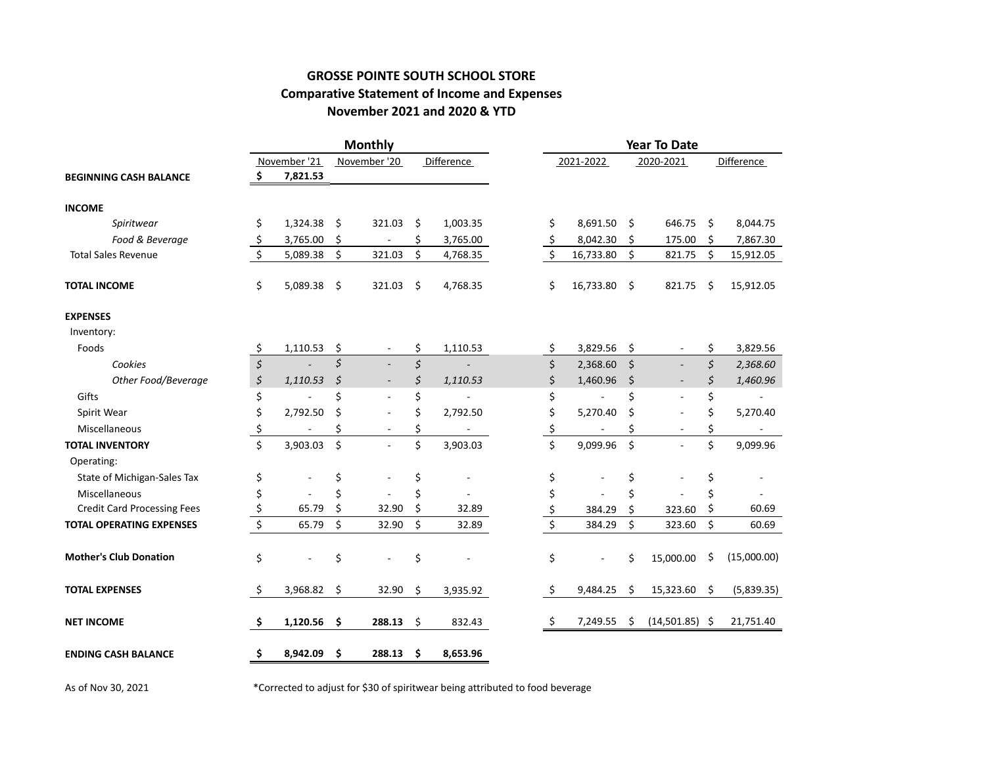### **GROSSE POINTE SOUTH SCHOOL STORE Comparative Statement of Income and Expenses November 2021 and 2020 & YTD**

|                                    |                                     |              | <b>Monthly</b>                 |     |                   | <b>Year To Date</b> |                  |           |         |                          |     |             |
|------------------------------------|-------------------------------------|--------------|--------------------------------|-----|-------------------|---------------------|------------------|-----------|---------|--------------------------|-----|-------------|
|                                    |                                     | November '21 | November '20                   |     | <b>Difference</b> |                     |                  | 2021-2022 |         | 2020-2021                |     | Difference  |
| <b>BEGINNING CASH BALANCE</b>      | \$                                  | 7,821.53     |                                |     |                   |                     |                  |           |         |                          |     |             |
| <b>INCOME</b>                      |                                     |              |                                |     |                   |                     |                  |           |         |                          |     |             |
| Spiritwear                         | \$                                  | 1,324.38     | \$<br>321.03                   | \$  | 1,003.35          |                     | \$               | 8,691.50  | Ŝ.      | 646.75                   | -\$ | 8,044.75    |
| Food & Beverage                    | \$                                  | 3,765.00     | \$                             | \$  | 3,765.00          |                     | \$               | 8,042.30  | \$      | 175.00                   | \$  | 7,867.30    |
| <b>Total Sales Revenue</b>         | $\zeta$                             | 5,089.38     | \$<br>321.03                   | \$  | 4,768.35          |                     | \$               | 16,733.80 | \$      | 821.75                   | \$  | 15,912.05   |
| <b>TOTAL INCOME</b>                | \$                                  | 5,089.38     | \$<br>321.03                   | \$  | 4,768.35          |                     | \$               | 16,733.80 | \$      | 821.75                   | Ŝ.  | 15,912.05   |
| <b>EXPENSES</b>                    |                                     |              |                                |     |                   |                     |                  |           |         |                          |     |             |
| Inventory:                         |                                     |              |                                |     |                   |                     |                  |           |         |                          |     |             |
| Foods                              | \$                                  | 1,110.53     | \$<br>$\overline{\phantom{a}}$ | \$  | 1,110.53          |                     | \$               | 3,829.56  | \$      |                          | \$  | 3,829.56    |
| Cookies                            | $\boldsymbol{\zeta}$                |              | \$                             | \$  |                   |                     | \$               | 2,368.60  | \$      | $\overline{\phantom{a}}$ | \$  | 2,368.60    |
| Other Food/Beverage                | $\boldsymbol{\zeta}$                | 1,110.53     | \$<br>$\overline{\phantom{a}}$ | \$  | 1,110.53          |                     | \$               | 1,460.96  | $\zeta$ |                          | \$  | 1,460.96    |
| Gifts                              | \$                                  |              | \$                             | \$  |                   |                     | \$               |           | \$      |                          | \$  |             |
| Spirit Wear                        | \$                                  | 2,792.50     | \$                             | \$  | 2,792.50          |                     | \$               | 5,270.40  | Ś       | ÷,                       | \$  | 5,270.40    |
| Miscellaneous                      | \$                                  |              | \$                             | \$  |                   |                     | \$               |           | \$      |                          | \$  |             |
| <b>TOTAL INVENTORY</b>             | \$                                  | 3,903.03     | \$                             | \$  | 3,903.03          |                     | \$               | 9,099.96  | \$      |                          | \$  | 9,099.96    |
| Operating:                         |                                     |              |                                |     |                   |                     |                  |           |         |                          |     |             |
| State of Michigan-Sales Tax        | \$                                  |              | \$                             | \$  |                   |                     | \$               |           | \$      |                          | \$  |             |
| Miscellaneous                      | \$                                  |              | \$                             | \$  |                   |                     | \$               |           | Ś       |                          | \$  |             |
| <b>Credit Card Processing Fees</b> | \$                                  | 65.79        | \$<br>32.90                    | \$  | 32.89             |                     | <u>\$</u>        | 384.29    | Ś.      | 323.60                   | \$  | 60.69       |
| <b>TOTAL OPERATING EXPENSES</b>    | $\overline{\boldsymbol{\varsigma}}$ | 65.79        | \$<br>32.90                    | \$  | 32.89             |                     | $\overline{\xi}$ | 384.29    | \$      | 323.60                   | \$  | 60.69       |
| <b>Mother's Club Donation</b>      | \$                                  |              | \$                             | \$  |                   |                     | \$               |           | \$      | 15,000.00                | \$  | (15,000.00) |
| <b>TOTAL EXPENSES</b>              | \$                                  | 3,968.82     | \$<br>32.90                    | Ŝ.  | 3,935.92          |                     | \$               | 9,484.25  | \$      | 15,323.60                | \$  | (5,839.35)  |
| <b>NET INCOME</b>                  | \$                                  | 1,120.56     | \$<br>288.13                   | \$  | 832.43            |                     | \$               | 7,249.55  | \$      | $(14,501.85)$ \$         |     | 21,751.40   |
| <b>ENDING CASH BALANCE</b>         | \$                                  | 8,942.09     | \$<br>288.13                   | \$. | 8,653.96          |                     |                  |           |         |                          |     |             |

As of Nov 30, 2021 \* Corrected to adjust for \$30 of spiritwear being attributed to food beverage